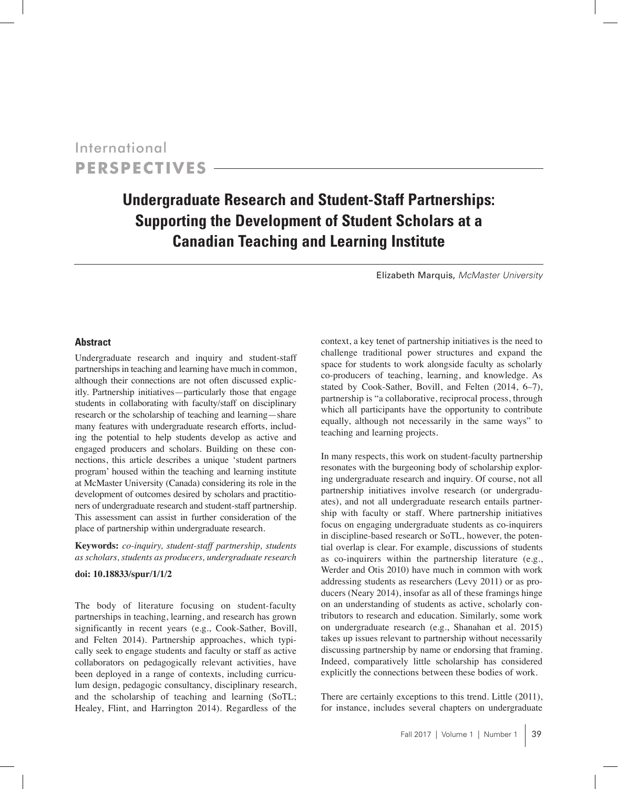International **Perspectives**

# **Undergraduate Research and Student-Staff Partnerships: Supporting the Development of Student Scholars at a Canadian Teaching and Learning Institute**

Elizabeth Marquis, *McMaster University*

### **Abstract**

Undergraduate research and inquiry and student-staff partnerships in teaching and learning have much in common, although their connections are not often discussed explicitly. Partnership initiatives—particularly those that engage students in collaborating with faculty/staff on disciplinary research or the scholarship of teaching and learning—share many features with undergraduate research efforts, including the potential to help students develop as active and engaged producers and scholars. Building on these connections, this article describes a unique 'student partners program' housed within the teaching and learning institute at McMaster University (Canada) considering its role in the development of outcomes desired by scholars and practitioners of undergraduate research and student-staff partnership. This assessment can assist in further consideration of the place of partnership within undergraduate research.

**Keywords:** *co-inquiry, student-staff partnership, students as scholars, students as producers, undergraduate research*

## **doi: 10.18833/spur/1/1/2**

The body of literature focusing on student-faculty partnerships in teaching, learning, and research has grown significantly in recent years (e.g., Cook-Sather, Bovill, and Felten 2014). Partnership approaches, which typically seek to engage students and faculty or staff as active collaborators on pedagogically relevant activities, have been deployed in a range of contexts, including curriculum design, pedagogic consultancy, disciplinary research, and the scholarship of teaching and learning (SoTL; Healey, Flint, and Harrington 2014). Regardless of the

context, a key tenet of partnership initiatives is the need to challenge traditional power structures and expand the space for students to work alongside faculty as scholarly co-producers of teaching, learning, and knowledge. As stated by Cook-Sather, Bovill, and Felten (2014, 6–7), partnership is "a collaborative, reciprocal process, through which all participants have the opportunity to contribute equally, although not necessarily in the same ways" to teaching and learning projects.

In many respects, this work on student-faculty partnership resonates with the burgeoning body of scholarship exploring undergraduate research and inquiry. Of course, not all partnership initiatives involve research (or undergraduates), and not all undergraduate research entails partnership with faculty or staff. Where partnership initiatives focus on engaging undergraduate students as co-inquirers in discipline-based research or SoTL, however, the potential overlap is clear. For example, discussions of students as co-inquirers within the partnership literature (e.g., Werder and Otis 2010) have much in common with work addressing students as researchers (Levy 2011) or as producers (Neary 2014), insofar as all of these framings hinge on an understanding of students as active, scholarly contributors to research and education. Similarly, some work on undergraduate research (e.g., Shanahan et al. 2015) takes up issues relevant to partnership without necessarily discussing partnership by name or endorsing that framing. Indeed, comparatively little scholarship has considered explicitly the connections between these bodies of work.

There are certainly exceptions to this trend. Little (2011), for instance, includes several chapters on undergraduate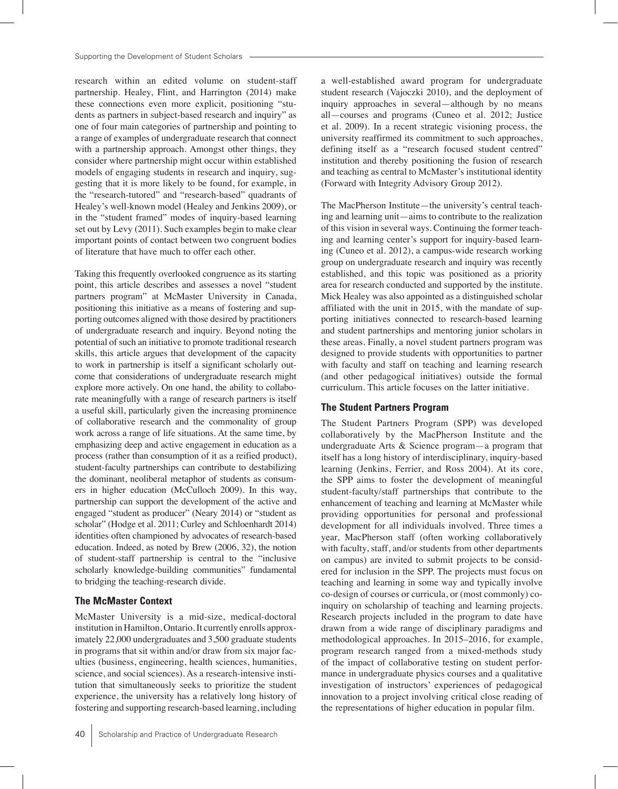research within an edited volume on student-staff partnership. Healey, Flint, and Harrington (2014) make these connections even more explicit, positioning "students as partners in subject-based research and inquiry" as one of four main categories of partnership and pointing to a range of examples of undergraduate research that connect with a partnership approach. Amongst other things, they consider where partnership might occur within established models of engaging students in research and inquiry, suggesting that it is more likely to be found, for example, in the "research-tutored" and "research-based" quadrants of Healey's well-known model (Healey and Jenkins 2009), or in the "student framed" modes of inquiry-based learning set out by Levy (2011). Such examples begin to make clear important points of contact between two congruent bodies of literature that have much to offer each other.

Taking this frequently overlooked congruence as its starting point, this article describes and assesses a novel "student partners program" at McMaster University in Canada, positioning this initiative as a means of fostering and supporting outcomes aligned with those desired by practitioners of undergraduate research and inquiry. Beyond noting the potential of such an initiative to promote traditional research skills, this article argues that development of the capacity to work in partnership is itself a significant scholarly outcome that considerations of undergraduate research might explore more actively. On one hand, the ability to collaborate meaningfully with a range of research partners is itself a useful skill, particularly given the increasing prominence of collaborative research and the commonality of group work across a range of life situations. At the same time, by emphasizing deep and active engagement in education as a process (rather than consumption of it as a reified product), student-faculty partnerships can contribute to destabilizing the dominant, neoliberal metaphor of students as consumers in higher education (McCulloch 2009). In this way, partnership can support the development of the active and engaged "student as producer" (Neary 2014) or "student as scholar" (Hodge et al. 2011; Curley and Schloenhardt 2014) identities often championed by advocates of research-based education. Indeed, as noted by Brew (2006, 32), the notion of student-staff partnership is central to the "inclusive scholarly knowledge-building communities" fundamental to bridging the teaching-research divide.

### **The McMaster Context**

McMaster University is a mid-size, medical-doctoral institution in Hamilton, Ontario. It currently enrolls approximately 22,000 undergraduates and 3,500 graduate students in programs that sit within and/or draw from six major faculties (business, engineering, health sciences, humanities, science, and social sciences). As a research-intensive institution that simultaneously seeks to prioritize the student experience, the university has a relatively long history of fostering and supporting research-based learning, including a well-established award program for undergraduate student research (Vajoczki 2010), and the deployment of inquiry approaches in several—although by no means all—courses and programs (Cuneo et al. 2012; Justice et al. 2009). In a recent strategic visioning process, the university reaffirmed its commitment to such approaches, defining itself as a "research focused student centred" institution and thereby positioning the fusion of research and teaching as central to McMaster's institutional identity (Forward with Integrity Advisory Group 2012).

The MacPherson Institute—the university's central teaching and learning unit—aims to contribute to the realization of this vision in several ways. Continuing the former teaching and learning center's support for inquiry-based learning (Cuneo et al. 2012), a campus-wide research working group on undergraduate research and inquiry was recently established, and this topic was positioned as a priority area for research conducted and supported by the institute. Mick Healey was also appointed as a distinguished scholar affiliated with the unit in 2015, with the mandate of supporting initiatives connected to research-based learning and student partnerships and mentoring junior scholars in these areas. Finally, a novel student partners program was designed to provide students with opportunities to partner with faculty and staff on teaching and learning research (and other pedagogical initiatives) outside the formal curriculum. This article focuses on the latter initiative.

### **The Student Partners Program**

The Student Partners Program (SPP) was developed collaboratively by the MacPherson Institute and the undergraduate Arts & Science program—a program that itself has a long history of interdisciplinary, inquiry-based learning (Jenkins, Ferrier, and Ross 2004). At its core, the SPP aims to foster the development of meaningful student-faculty/staff partnerships that contribute to the enhancement of teaching and learning at McMaster while providing opportunities for personal and professional development for all individuals involved. Three times a year, MacPherson staff (often working collaboratively with faculty, staff, and/or students from other departments on campus) are invited to submit projects to be considered for inclusion in the SPP. The projects must focus on teaching and learning in some way and typically involve co-design of courses or curricula, or (most commonly) coinquiry on scholarship of teaching and learning projects. Research projects included in the program to date have drawn from a wide range of disciplinary paradigms and methodological approaches. In 2015–2016, for example, program research ranged from a mixed-methods study of the impact of collaborative testing on student performance in undergraduate physics courses and a qualitative investigation of instructors' experiences of pedagogical innovation to a project involving critical close reading of the representations of higher education in popular film.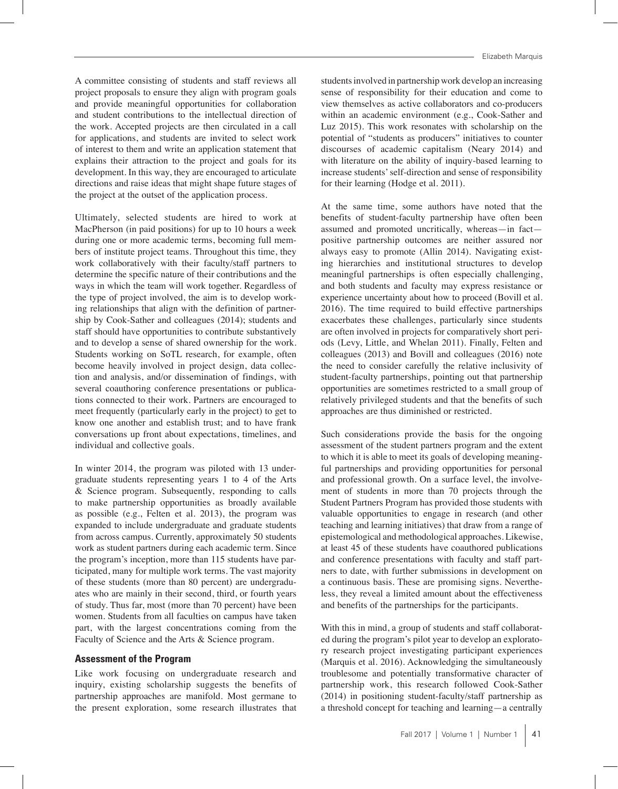A committee consisting of students and staff reviews all project proposals to ensure they align with program goals and provide meaningful opportunities for collaboration and student contributions to the intellectual direction of the work. Accepted projects are then circulated in a call for applications, and students are invited to select work of interest to them and write an application statement that explains their attraction to the project and goals for its development. In this way, they are encouraged to articulate directions and raise ideas that might shape future stages of the project at the outset of the application process.

Ultimately, selected students are hired to work at MacPherson (in paid positions) for up to 10 hours a week during one or more academic terms, becoming full members of institute project teams. Throughout this time, they work collaboratively with their faculty/staff partners to determine the specific nature of their contributions and the ways in which the team will work together. Regardless of the type of project involved, the aim is to develop working relationships that align with the definition of partnership by Cook-Sather and colleagues (2014); students and staff should have opportunities to contribute substantively and to develop a sense of shared ownership for the work. Students working on SoTL research, for example, often become heavily involved in project design, data collection and analysis, and/or dissemination of findings, with several coauthoring conference presentations or publications connected to their work. Partners are encouraged to meet frequently (particularly early in the project) to get to know one another and establish trust; and to have frank conversations up front about expectations, timelines, and individual and collective goals.

In winter 2014, the program was piloted with 13 undergraduate students representing years 1 to 4 of the Arts & Science program. Subsequently, responding to calls to make partnership opportunities as broadly available as possible (e.g., Felten et al. 2013), the program was expanded to include undergraduate and graduate students from across campus. Currently, approximately 50 students work as student partners during each academic term. Since the program's inception, more than 115 students have participated, many for multiple work terms. The vast majority of these students (more than 80 percent) are undergraduates who are mainly in their second, third, or fourth years of study. Thus far, most (more than 70 percent) have been women. Students from all faculties on campus have taken part, with the largest concentrations coming from the Faculty of Science and the Arts & Science program.

#### **Assessment of the Program**

Like work focusing on undergraduate research and inquiry, existing scholarship suggests the benefits of partnership approaches are manifold. Most germane to the present exploration, some research illustrates that

students involved in partnership work develop an increasing sense of responsibility for their education and come to view themselves as active collaborators and co-producers within an academic environment (e.g., Cook-Sather and Luz 2015). This work resonates with scholarship on the potential of "students as producers" initiatives to counter discourses of academic capitalism (Neary 2014) and with literature on the ability of inquiry-based learning to increase students' self-direction and sense of responsibility for their learning (Hodge et al. 2011).

At the same time, some authors have noted that the benefits of student-faculty partnership have often been assumed and promoted uncritically, whereas—in fact positive partnership outcomes are neither assured nor always easy to promote (Allin 2014). Navigating existing hierarchies and institutional structures to develop meaningful partnerships is often especially challenging, and both students and faculty may express resistance or experience uncertainty about how to proceed (Bovill et al. 2016). The time required to build effective partnerships exacerbates these challenges, particularly since students are often involved in projects for comparatively short periods (Levy, Little, and Whelan 2011). Finally, Felten and colleagues (2013) and Bovill and colleagues (2016) note the need to consider carefully the relative inclusivity of student-faculty partnerships, pointing out that partnership opportunities are sometimes restricted to a small group of relatively privileged students and that the benefits of such approaches are thus diminished or restricted.

Such considerations provide the basis for the ongoing assessment of the student partners program and the extent to which it is able to meet its goals of developing meaningful partnerships and providing opportunities for personal and professional growth. On a surface level, the involvement of students in more than 70 projects through the Student Partners Program has provided those students with valuable opportunities to engage in research (and other teaching and learning initiatives) that draw from a range of epistemological and methodological approaches. Likewise, at least 45 of these students have coauthored publications and conference presentations with faculty and staff partners to date, with further submissions in development on a continuous basis. These are promising signs. Nevertheless, they reveal a limited amount about the effectiveness and benefits of the partnerships for the participants.

With this in mind, a group of students and staff collaborated during the program's pilot year to develop an exploratory research project investigating participant experiences (Marquis et al. 2016). Acknowledging the simultaneously troublesome and potentially transformative character of partnership work, this research followed Cook-Sather (2014) in positioning student-faculty/staff partnership as a threshold concept for teaching and learning—a centrally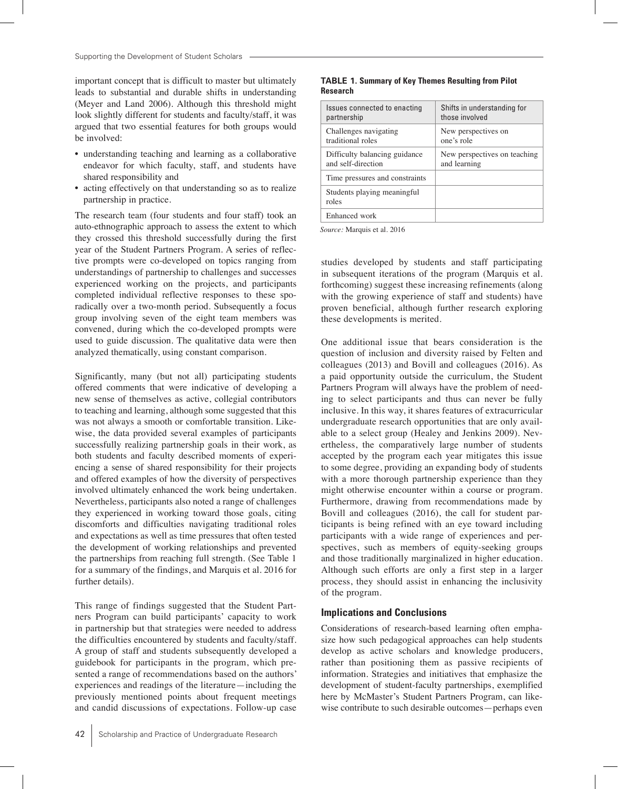important concept that is difficult to master but ultimately leads to substantial and durable shifts in understanding (Meyer and Land 2006). Although this threshold might look slightly different for students and faculty/staff, it was argued that two essential features for both groups would be involved:

- • understanding teaching and learning as a collaborative endeavor for which faculty, staff, and students have shared responsibility and
- acting effectively on that understanding so as to realize partnership in practice.

The research team (four students and four staff) took an auto-ethnographic approach to assess the extent to which they crossed this threshold successfully during the first year of the Student Partners Program. A series of reflective prompts were co-developed on topics ranging from understandings of partnership to challenges and successes experienced working on the projects, and participants completed individual reflective responses to these sporadically over a two-month period. Subsequently a focus group involving seven of the eight team members was convened, during which the co-developed prompts were used to guide discussion. The qualitative data were then analyzed thematically, using constant comparison.

Significantly, many (but not all) participating students offered comments that were indicative of developing a new sense of themselves as active, collegial contributors to teaching and learning, although some suggested that this was not always a smooth or comfortable transition. Likewise, the data provided several examples of participants successfully realizing partnership goals in their work, as both students and faculty described moments of experiencing a sense of shared responsibility for their projects and offered examples of how the diversity of perspectives involved ultimately enhanced the work being undertaken. Nevertheless, participants also noted a range of challenges they experienced in working toward those goals, citing discomforts and difficulties navigating traditional roles and expectations as well as time pressures that often tested the development of working relationships and prevented the partnerships from reaching full strength. (See Table 1 for a summary of the findings, and Marquis et al. 2016 for further details).

This range of findings suggested that the Student Partners Program can build participants' capacity to work in partnership but that strategies were needed to address the difficulties encountered by students and faculty/staff. A group of staff and students subsequently developed a guidebook for participants in the program, which presented a range of recommendations based on the authors' experiences and readings of the literature—including the previously mentioned points about frequent meetings and candid discussions of expectations. Follow-up case

#### **TABLE 1. Summary of Key Themes Resulting from Pilot Research**

| Issues connected to enacting         | Shifts in understanding for  |
|--------------------------------------|------------------------------|
| partnership                          | those involved               |
| Challenges navigating                | New perspectives on          |
| traditional roles                    | one's role                   |
| Difficulty balancing guidance        | New perspectives on teaching |
| and self-direction                   | and learning                 |
| Time pressures and constraints       |                              |
| Students playing meaningful<br>roles |                              |
| Enhanced work                        |                              |

*Source:* Marquis et al. 2016

studies developed by students and staff participating in subsequent iterations of the program (Marquis et al. forthcoming) suggest these increasing refinements (along with the growing experience of staff and students) have proven beneficial, although further research exploring these developments is merited.

One additional issue that bears consideration is the question of inclusion and diversity raised by Felten and colleagues (2013) and Bovill and colleagues (2016). As a paid opportunity outside the curriculum, the Student Partners Program will always have the problem of needing to select participants and thus can never be fully inclusive. In this way, it shares features of extracurricular undergraduate research opportunities that are only available to a select group (Healey and Jenkins 2009). Nevertheless, the comparatively large number of students accepted by the program each year mitigates this issue to some degree, providing an expanding body of students with a more thorough partnership experience than they might otherwise encounter within a course or program. Furthermore, drawing from recommendations made by Bovill and colleagues (2016), the call for student participants is being refined with an eye toward including participants with a wide range of experiences and perspectives, such as members of equity-seeking groups and those traditionally marginalized in higher education. Although such efforts are only a first step in a larger process, they should assist in enhancing the inclusivity of the program.

#### **Implications and Conclusions**

Considerations of research-based learning often emphasize how such pedagogical approaches can help students develop as active scholars and knowledge producers, rather than positioning them as passive recipients of information. Strategies and initiatives that emphasize the development of student-faculty partnerships, exemplified here by McMaster's Student Partners Program, can likewise contribute to such desirable outcomes—perhaps even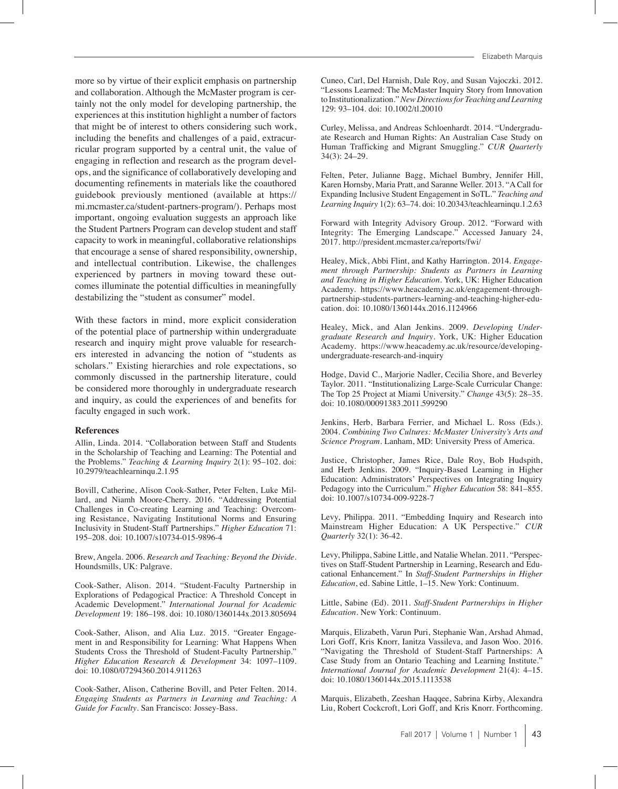more so by virtue of their explicit emphasis on partnership and collaboration. Although the McMaster program is certainly not the only model for developing partnership, the experiences at this institution highlight a number of factors that might be of interest to others considering such work, including the benefits and challenges of a paid, extracurricular program supported by a central unit, the value of engaging in reflection and research as the program develops, and the significance of collaboratively developing and documenting refinements in materials like the coauthored guidebook previously mentioned (available at https:// mi.mcmaster.ca/student-partners-program/). Perhaps most important, ongoing evaluation suggests an approach like the Student Partners Program can develop student and staff capacity to work in meaningful, collaborative relationships that encourage a sense of shared responsibility, ownership, and intellectual contribution. Likewise, the challenges experienced by partners in moving toward these outcomes illuminate the potential difficulties in meaningfully destabilizing the "student as consumer" model.

With these factors in mind, more explicit consideration of the potential place of partnership within undergraduate research and inquiry might prove valuable for researchers interested in advancing the notion of "students as scholars." Existing hierarchies and role expectations, so commonly discussed in the partnership literature, could be considered more thoroughly in undergraduate research and inquiry, as could the experiences of and benefits for faculty engaged in such work.

#### **References**

Allin, Linda. 2014. "Collaboration between Staff and Students in the Scholarship of Teaching and Learning: The Potential and the Problems." *Teaching & Learning Inquiry* 2(1): 95–102. doi: 10.2979/teachlearninqu.2.1.95

Bovill, Catherine, Alison Cook-Sather, Peter Felten, Luke Millard, and Niamh Moore-Cherry. 2016. "Addressing Potential Challenges in Co-creating Learning and Teaching: Overcoming Resistance, Navigating Institutional Norms and Ensuring Inclusivity in Student-Staff Partnerships." *Higher Education* 71: 195–208. doi: 10.1007/s10734-015-9896-4

Brew, Angela. 2006. *Research and Teaching: Beyond the Divide*. Houndsmills, UK: Palgrave.

Cook-Sather, Alison. 2014. "Student-Faculty Partnership in Explorations of Pedagogical Practice: A Threshold Concept in Academic Development." *International Journal for Academic Development* 19: 186–198. doi: 10.1080/1360144x.2013.805694

Cook-Sather, Alison, and Alia Luz. 2015. "Greater Engagement in and Responsibility for Learning: What Happens When Students Cross the Threshold of Student-Faculty Partnership." *Higher Education Research & Development* 34: 1097–1109. doi: 10.1080/07294360.2014.911263

Cook-Sather, Alison, Catherine Bovill, and Peter Felten. 2014. *Engaging Students as Partners in Learning and Teaching: A Guide for Faculty*. San Francisco: Jossey-Bass.

Cuneo, Carl, Del Harnish, Dale Roy, and Susan Vajoczki. 2012. "Lessons Learned: The McMaster Inquiry Story from Innovation to Institutionalization." *New Directions for Teaching and Learning* 129: 93–104. doi: 10.1002/tl.20010

Curley, Melissa, and Andreas Schloenhardt. 2014. "Undergraduate Research and Human Rights: An Australian Case Study on Human Trafficking and Migrant Smuggling." *CUR Quarterly* 34(3): 24–29.

Felten, Peter, Julianne Bagg, Michael Bumbry, Jennifer Hill, Karen Hornsby, Maria Pratt, and Saranne Weller. 2013. "A Call for Expanding Inclusive Student Engagement in SoTL." *Teaching and Learning Inquiry* 1(2): 63–74. doi: 10.20343/teachlearninqu.1.2.63

Forward with Integrity Advisory Group. 2012. "Forward with Integrity: The Emerging Landscape." Accessed January 24, 2017. http://president.mcmaster.ca/reports/fwi/

Healey, Mick, Abbi Flint, and Kathy Harrington. 2014. *Engagement through Partnership: Students as Partners in Learning and Teaching in Higher Education*. York, UK: Higher Education Academy. https://www.heacademy.ac.uk/engagement-throughpartnership-students-partners-learning-and-teaching-higher-education. doi: 10.1080/1360144x.2016.1124966

Healey, Mick, and Alan Jenkins. 2009. *Developing Undergraduate Research and Inquiry*. York, UK: Higher Education Academy. https://www.heacademy.ac.uk/resource/developingundergraduate-research-and-inquiry

Hodge, David C., Marjorie Nadler, Cecilia Shore, and Beverley Taylor. 2011. "Institutionalizing Large-Scale Curricular Change: The Top 25 Project at Miami University." *Change* 43(5): 28–35. doi: 10.1080/00091383.2011.599290

Jenkins, Herb, Barbara Ferrier, and Michael L. Ross (Eds.). 2004. *Combining Two Cultures: McMaster University's Arts and Science Program.* Lanham, MD: University Press of America.

Justice, Christopher, James Rice, Dale Roy, Bob Hudspith, and Herb Jenkins. 2009. "Inquiry-Based Learning in Higher Education: Administrators' Perspectives on Integrating Inquiry Pedagogy into the Curriculum." *Higher Education* 58: 841–855. doi: 10.1007/s10734-009-9228-7

Levy, Philippa. 2011. "Embedding Inquiry and Research into Mainstream Higher Education: A UK Perspective." *CUR Quarterly* 32(1): 36-42.

Levy, Philippa, Sabine Little, and Natalie Whelan. 2011. "Perspectives on Staff-Student Partnership in Learning, Research and Educational Enhancement." In *Staff-Student Partnerships in Higher Education*, ed. Sabine Little, 1–15. New York: Continuum.

Little, Sabine (Ed). 2011. *Staff-Student Partnerships in Higher Education*. New York: Continuum.

Marquis, Elizabeth, Varun Puri, Stephanie Wan, Arshad Ahmad, Lori Goff, Kris Knorr, Ianitza Vassileva, and Jason Woo. 2016. "Navigating the Threshold of Student-Staff Partnerships: A Case Study from an Ontario Teaching and Learning Institute." *International Journal for Academic Development* 21(4): 4–15. doi: 10.1080/1360144x.2015.1113538

Marquis, Elizabeth, Zeeshan Haqqee, Sabrina Kirby, Alexandra Liu, Robert Cockcroft, Lori Goff, and Kris Knorr. Forthcoming.